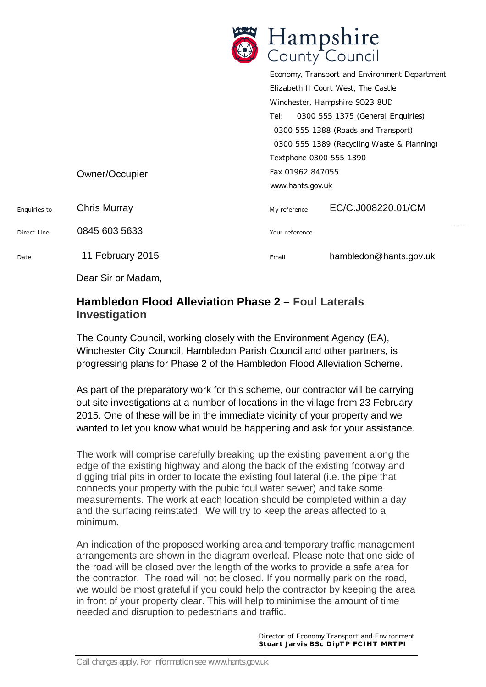|              | <b>BELISE</b>       | Hampshire<br>County Council          |                                               |
|--------------|---------------------|--------------------------------------|-----------------------------------------------|
|              |                     |                                      | Economy, Transport and Environment Department |
|              |                     | Elizabeth II Court West, The Castle  |                                               |
|              |                     | Winchester, Hampshire SO23 8UD       |                                               |
|              |                     | Tel:                                 | 0300 555 1375 (General Enquiries)             |
|              |                     | 0300 555 1388 (Roads and Transport)  |                                               |
|              |                     |                                      | 0300 555 1389 (Recycling Waste & Planning)    |
|              |                     | Textphone 0300 555 1390              |                                               |
|              | Owner/Occupier      | Fax 01962 847055<br>www.hants.gov.uk |                                               |
|              |                     |                                      |                                               |
| Enquiries to | <b>Chris Murray</b> | My reference                         | EC/C.J008220.01/CM                            |
| Direct Line  | 0845 603 5633       | Your reference                       |                                               |
| Date         | 11 February 2015    | Email                                | hambledon@hants.gov.uk                        |

Dear Sir or Madam,

## **Hambledon Flood Alleviation Phase 2 – Foul Laterals Investigation**

The County Council, working closely with the Environment Agency (EA), Winchester City Council, Hambledon Parish Council and other partners, is progressing plans for Phase 2 of the Hambledon Flood Alleviation Scheme.

As part of the preparatory work for this scheme, our contractor will be carrying out site investigations at a number of locations in the village from 23 February 2015. One of these will be in the immediate vicinity of your property and we wanted to let you know what would be happening and ask for your assistance.

The work will comprise carefully breaking up the existing pavement along the edge of the existing highway and along the back of the existing footway and digging trial pits in order to locate the existing foul lateral (i.e. the pipe that connects your property with the pubic foul water sewer) and take some measurements. The work at each location should be completed within a day and the surfacing reinstated. We will try to keep the areas affected to a minimum.

An indication of the proposed working area and temporary traffic management arrangements are shown in the diagram overleaf. Please note that one side of the road will be closed over the length of the works to provide a safe area for the contractor. The road will not be closed. If you normally park on the road, we would be most grateful if you could help the contractor by keeping the area in front of your property clear. This will help to minimise the amount of time needed and disruption to pedestrians and traffic.

> *Dir ecto r of Eco no my T r anspo rt and E nv iro nment* Stuart Jarvis BSc DipTP FCIHT MRTPI